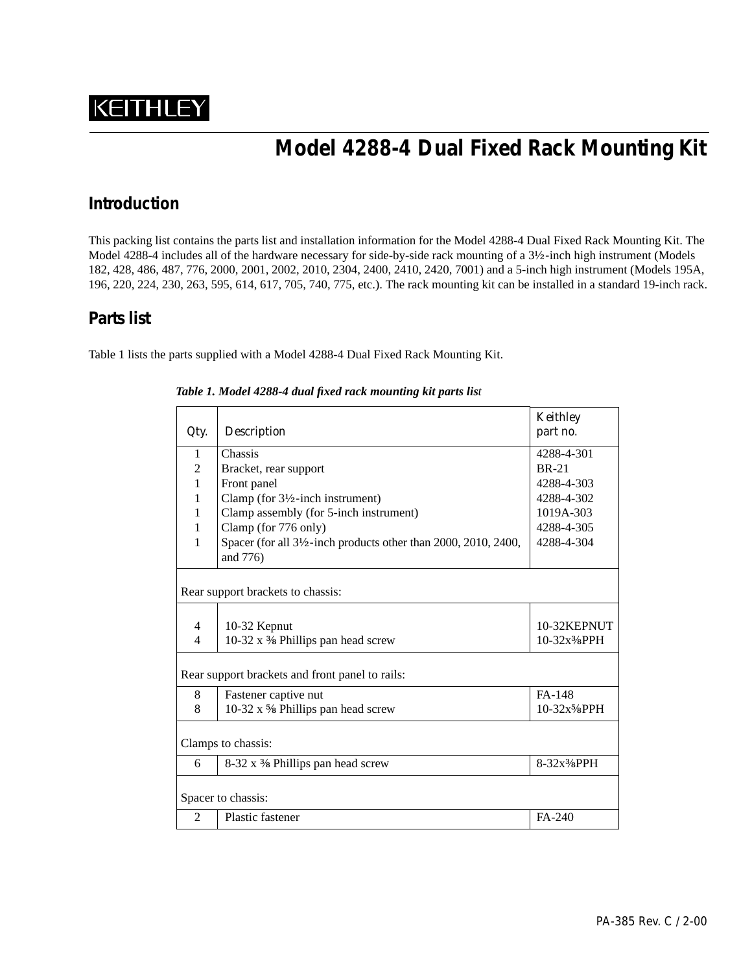# **KEITHLEY**

## **Model 4288-4 Dual Fixed Rack Mounting Kit**

#### **Introduction**

This packing list contains the parts list and installation information for the Model 4288-4 Dual Fixed Rack Mounting Kit. The Model 4288-4 includes all of the hardware necessary for side-by-side rack mounting of a 3½-inch high instrument (Models 182, 428, 486, 487, 776, 2000, 2001, 2002, 2010, 2304, 2400, 2410, 2420, 7001) and a 5-inch high instrument (Models 195A, 196, 220, 224, 230, 263, 595, 614, 617, 705, 740, 775, etc.). The rack mounting kit can be installed in a standard 19-inch rack.

#### **Parts list**

Table 1 lists the parts supplied with a Model 4288-4 Dual Fixed Rack Mounting Kit.

| Qty.                                            | <b>Description</b>                                            | <b>Keithley</b><br>part no.            |
|-------------------------------------------------|---------------------------------------------------------------|----------------------------------------|
| 1                                               | Chassis                                                       | 4288-4-301                             |
| $\overline{2}$                                  | Bracket, rear support                                         | <b>BR-21</b>                           |
| $\mathbf{1}$                                    | Front panel                                                   | 4288-4-303                             |
| 1                                               | Clamp (for $3\frac{1}{2}$ -inch instrument)                   | 4288-4-302                             |
| 1                                               | Clamp assembly (for 5-inch instrument)                        | 1019A-303                              |
| 1                                               | Clamp (for 776 only)                                          | 4288-4-305                             |
| 1                                               | Spacer (for all 3½-inch products other than 2000, 2010, 2400, | 4288-4-304                             |
|                                                 | and 776)                                                      |                                        |
| Rear support brackets to chassis:               |                                                               |                                        |
| 4                                               |                                                               | 10-32KEPNUT                            |
| $\overline{4}$                                  | 10-32 Kepnut<br>10-32 x 3% Phillips pan head screw            | 10-32x <sup>3</sup> / <sub>8</sub> PPH |
|                                                 |                                                               |                                        |
| Rear support brackets and front panel to rails: |                                                               |                                        |
| 8                                               | Fastener captive nut                                          | FA-148                                 |
| 8                                               | 10-32 x % Phillips pan head screw                             | 10-32x%PPH                             |
| Clamps to chassis:                              |                                                               |                                        |
| 6                                               | 8-32 x % Phillips pan head screw                              | 8-32x <sup>3</sup> / <sub>8</sub> PPH  |
| Spacer to chassis:                              |                                                               |                                        |
| 2                                               | <b>Plastic fastener</b>                                       | FA-240                                 |

*Table 1. Model 4288-4 dual fixed rack mounting kit parts list*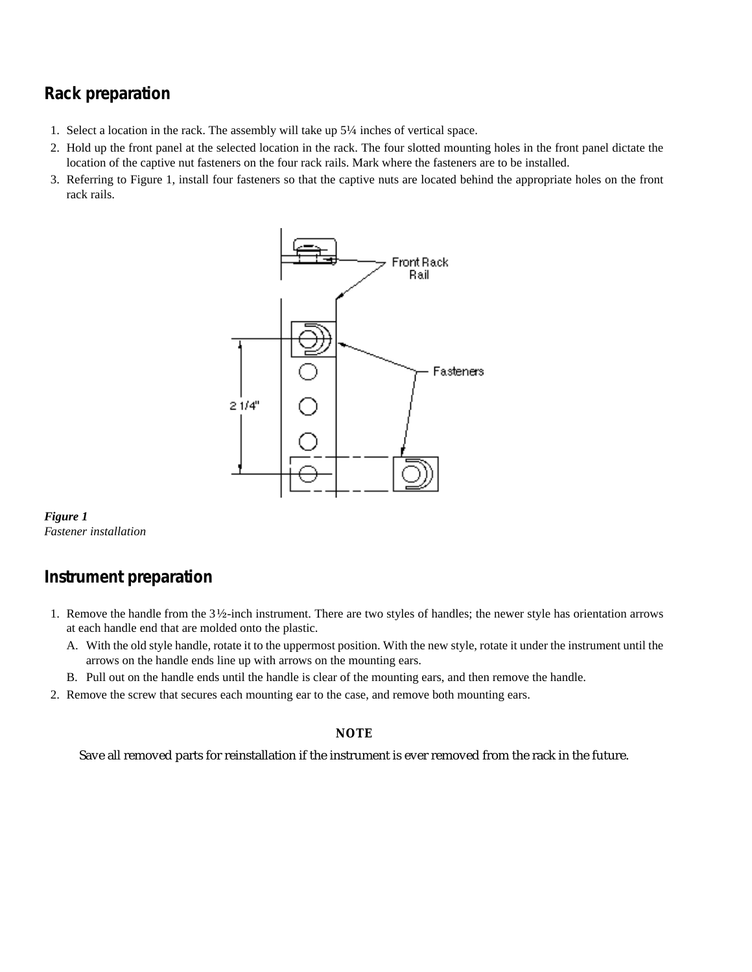#### **Rack preparation**

- 1. Select a location in the rack. The assembly will take up 5¼ inches of vertical space.
- 2. Hold up the front panel at the selected location in the rack. The four slotted mounting holes in the front panel dictate the location of the captive nut fasteners on the four rack rails. Mark where the fasteners are to be installed.
- 3. Referring to Figure 1, install four fasteners so that the captive nuts are located behind the appropriate holes on the front rack rails.





#### **Instrument preparation**

- 1. Remove the handle from the 3½-inch instrument. There are two styles of handles; the newer style has orientation arrows at each handle end that are molded onto the plastic.
	- A. With the old style handle, rotate it to the uppermost position. With the new style, rotate it under the instrument until the arrows on the handle ends line up with arrows on the mounting ears.
	- B. Pull out on the handle ends until the handle is clear of the mounting ears, and then remove the handle.
- 2. Remove the screw that secures each mounting ear to the case, and remove both mounting ears.

#### **NOTE**

Save all removed parts for reinstallation if the instrument is ever removed from the rack in the future.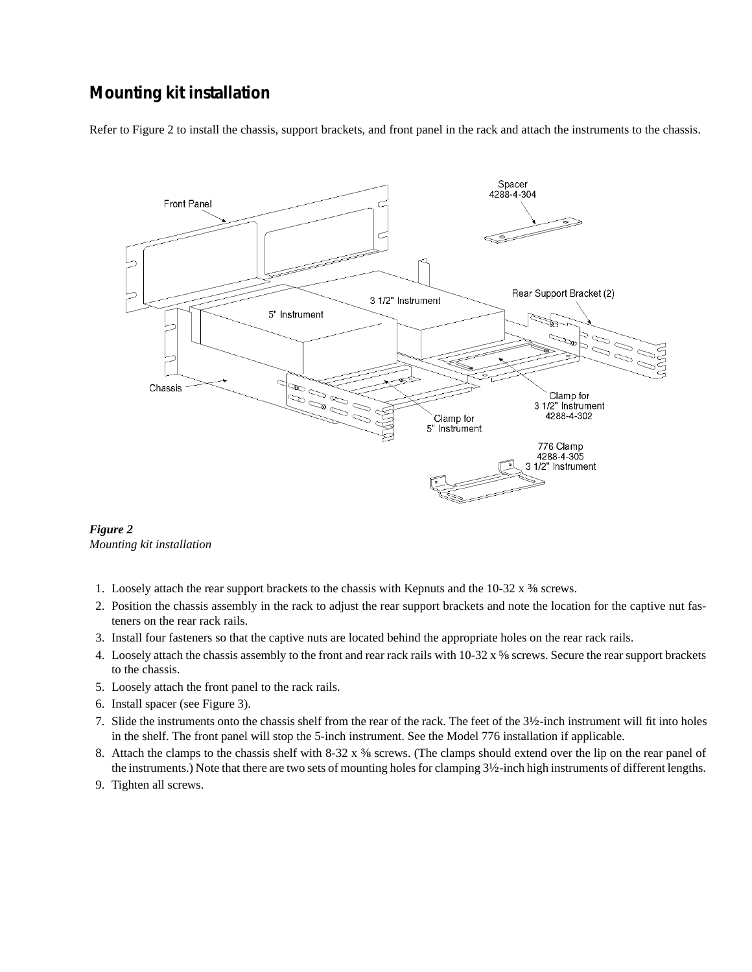#### **Mounting kit installation**

Refer to Figure 2 to install the chassis, support brackets, and front panel in the rack and attach the instruments to the chassis.



*Figure 2 Mounting kit installation*

- 1. Loosely attach the rear support brackets to the chassis with Kepnuts and the  $10-32 \times \frac{3}{8}$  screws.
- 2. Position the chassis assembly in the rack to adjust the rear support brackets and note the location for the captive nut fasteners on the rear rack rails.
- 3. Install four fasteners so that the captive nuts are located behind the appropriate holes on the rear rack rails.
- 4. Loosely attach the chassis assembly to the front and rear rack rails with 10-32 x ⅝ screws. Secure the rear support brackets to the chassis.
- 5. Loosely attach the front panel to the rack rails.
- 6. Install spacer (see Figure 3).
- 7. Slide the instruments onto the chassis shelf from the rear of the rack. The feet of the 3½-inch instrument will fit into holes in the shelf. The front panel will stop the 5-inch instrument. See the Model 776 installation if applicable.
- 8. Attach the clamps to the chassis shelf with 8-32 x  $\frac{3}{8}$  screws. (The clamps should extend over the lip on the rear panel of the instruments.) Note that there are two sets of mounting holes for clamping 3½-inch high instruments of different lengths.
- 9. Tighten all screws.